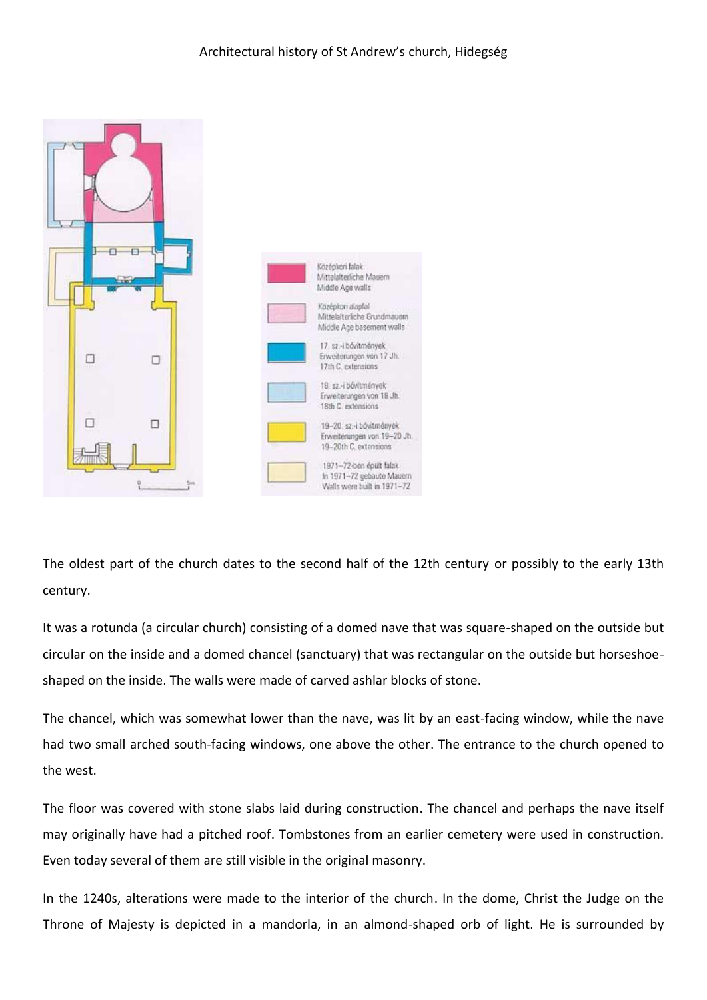

The oldest part of the church dates to the second half of the 12th century or possibly to the early 13th century.

It was a rotunda (a circular church) consisting of a domed nave that was square-shaped on the outside but circular on the inside and a domed chancel (sanctuary) that was rectangular on the outside but horseshoeshaped on the inside. The walls were made of carved ashlar blocks of stone.

The chancel, which was somewhat lower than the nave, was lit by an east-facing window, while the nave had two small arched south-facing windows, one above the other. The entrance to the church opened to the west.

The floor was covered with stone slabs laid during construction. The chancel and perhaps the nave itself may originally have had a pitched roof. Tombstones from an earlier cemetery were used in construction. Even today several of them are still visible in the original masonry.

In the 1240s, alterations were made to the interior of the church. In the dome, Christ the Judge on the Throne of Majesty is depicted in a mandorla, in an almond-shaped orb of light. He is surrounded by